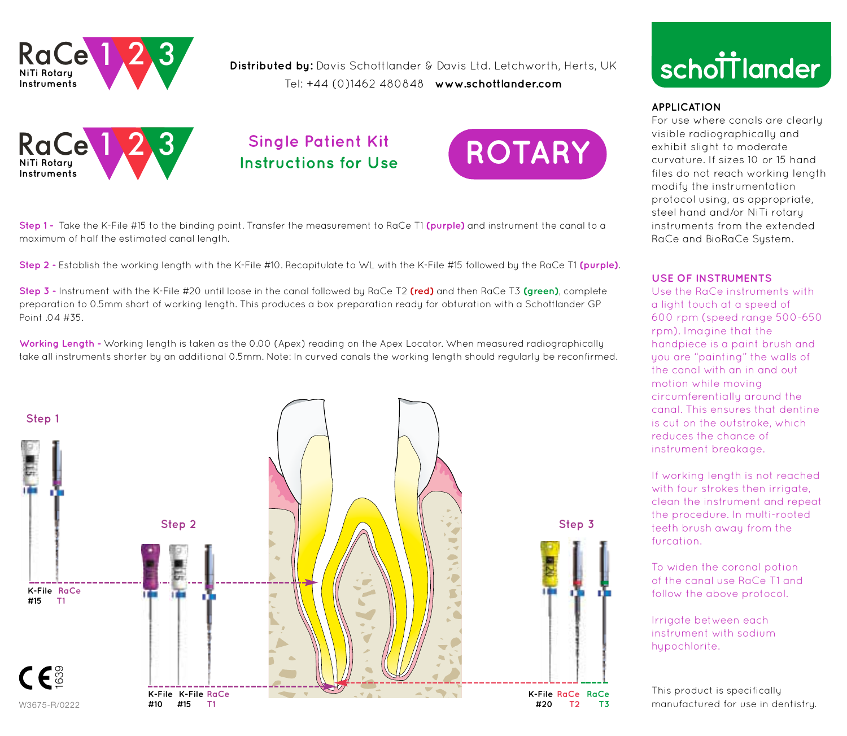

**Distributed by:** Davis Schottlander & Davis Ltd. Letchworth, Herts, UK Tel: +44 (0)1462 480848 **www.schottlander.com**



# **Single Patient Kit**



**Step 1 -** Take the K-File #15 to the binding point. Transfer the measurement to RaCe T1 **(purple)** and instrument the canal to a maximum of half the estimated canal length.

1 2 3 **Step 2 -** Establish the working length with the K-File #10. Recapitulate to WL with the K-File #15 followed by the RaCe T1 **(purple)**.

**Step 3 -** Instrument with the K-File #20 until loose in the canal followed by RaCe T2 **(red)** and then RaCe T3 **(green)**, complete preparation to 0.5mm short of working length. This produces a box preparation ready for obturation with a Schottlander GP Point 04 #35

**Working Length -** Working length is taken as the 0.00 (Apex) reading on the Apex Locator. When measured radiographically take all instruments shorter by an additional 0.5mm. Note: In curved canals the working length should regularly be reconfirmed.





### **APPLICATION**

For use where canals are clearly visible radiographically and exhibit slight to moderate curvature. If sizes 10 or 15 hand files do not reach working length modify the instrumentation protocol using, as appropriate, steel hand and/or NiTi rotary instruments from the extended RaCe and BioRaCe Sustem.

### **USE OF INSTRUMENTS**

Use the RaCe instruments with a light touch at a speed of 600 rpm (speed range 500-650 rpm). Imagine that the handpiece is a paint brush and you are "painting" the walls of the canal with an in and out motion while moving circumferentially around the canal. This ensures that dentine is cut on the outstroke, which reduces the chance of instrument breakage.

If working length is not reached with four strokes then irrigate, clean the instrument and repeat the procedure. In multi-rooted teeth brush away from the furcation.

To widen the coronal potion of the canal use RaCe T1 and follow the above protocol.

Irrigate between each instrument with sodium hypochlorite.

This product is specifically manufactured for use in dentistry.